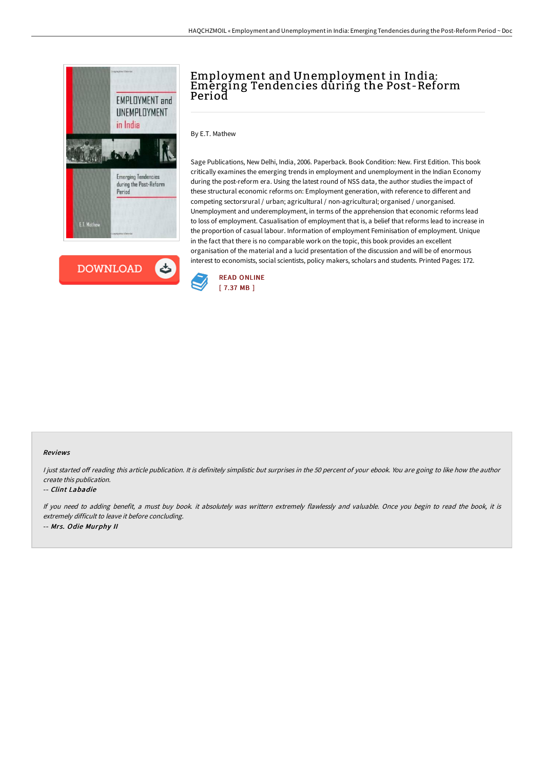



# Employment and Unemployment in India: Emerging Tendencies during the Post-Reform Period

By E.T. Mathew

Sage Publications, New Delhi, India, 2006. Paperback. Book Condition: New. First Edition. This book critically examines the emerging trends in employment and unemployment in the Indian Economy during the post-reform era. Using the latest round of NSS data, the author studies the impact of these structural economic reforms on: Employment generation, with reference to different and competing sectorsrural / urban; agricultural / non-agricultural; organised / unorganised. Unemployment and underemployment, in terms of the apprehension that economic reforms lead to loss of employment. Casualisation of employment that is, a belief that reforms lead to increase in the proportion of casual labour. Information of employment Feminisation of employment. Unique in the fact that there is no comparable work on the topic, this book provides an excellent organisation of the material and a lucid presentation of the discussion and will be of enormous interest to economists, social scientists, policy makers, scholars and students. Printed Pages: 172.



#### Reviews

I just started off reading this article publication. It is definitely simplistic but surprises in the 50 percent of your ebook. You are going to like how the author create this publication.

#### -- Clint Labadie

If you need to adding benefit, <sup>a</sup> must buy book. it absolutely was writtern extremely flawlessly and valuable. Once you begin to read the book, it is extremely difficult to leave it before concluding. -- Mrs. Odie Murphy II